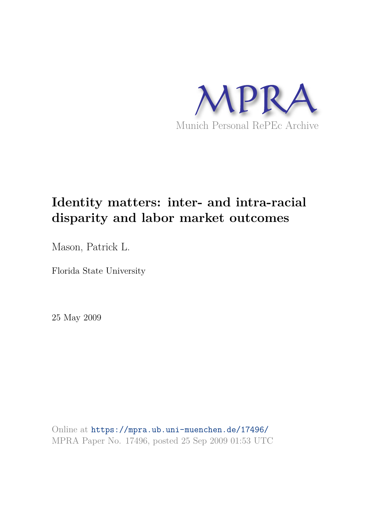

# **Identity matters: inter- and intra-racial disparity and labor market outcomes**

Mason, Patrick L.

Florida State University

25 May 2009

Online at https://mpra.ub.uni-muenchen.de/17496/ MPRA Paper No. 17496, posted 25 Sep 2009 01:53 UTC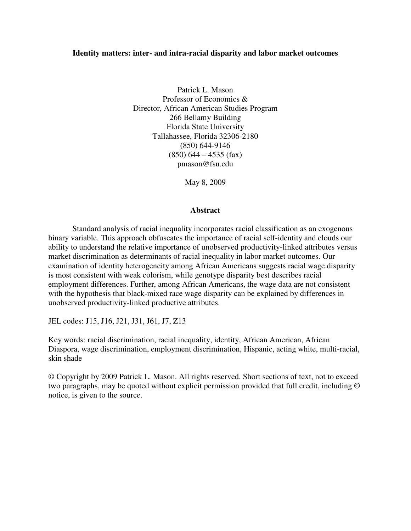# **Identity matters: inter- and intra-racial disparity and labor market outcomes**

Patrick L. Mason Professor of Economics & Director, African American Studies Program 266 Bellamy Building Florida State University Tallahassee, Florida 32306-2180 (850) 644-9146  $(850)$  644 – 4535 (fax) pmason@fsu.edu

May 8, 2009

## **Abstract**

 Standard analysis of racial inequality incorporates racial classification as an exogenous binary variable. This approach obfuscates the importance of racial self-identity and clouds our ability to understand the relative importance of unobserved productivity-linked attributes versus market discrimination as determinants of racial inequality in labor market outcomes. Our examination of identity heterogeneity among African Americans suggests racial wage disparity is most consistent with weak colorism, while genotype disparity best describes racial employment differences. Further, among African Americans, the wage data are not consistent with the hypothesis that black-mixed race wage disparity can be explained by differences in unobserved productivity-linked productive attributes.

JEL codes: J15, J16, J21, J31, J61, J7, Z13

Key words: racial discrimination, racial inequality, identity, African American, African Diaspora, wage discrimination, employment discrimination, Hispanic, acting white, multi-racial, skin shade

© Copyright by 2009 Patrick L. Mason. All rights reserved. Short sections of text, not to exceed two paragraphs, may be quoted without explicit permission provided that full credit, including © notice, is given to the source.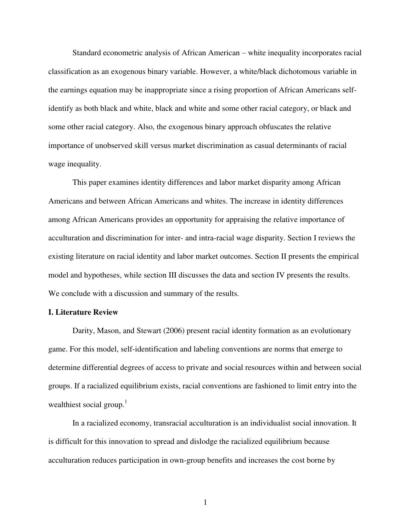Standard econometric analysis of African American – white inequality incorporates racial classification as an exogenous binary variable. However, a white/black dichotomous variable in the earnings equation may be inappropriate since a rising proportion of African Americans selfidentify as both black and white, black and white and some other racial category, or black and some other racial category. Also, the exogenous binary approach obfuscates the relative importance of unobserved skill versus market discrimination as casual determinants of racial wage inequality.

This paper examines identity differences and labor market disparity among African Americans and between African Americans and whites. The increase in identity differences among African Americans provides an opportunity for appraising the relative importance of acculturation and discrimination for inter- and intra-racial wage disparity. Section I reviews the existing literature on racial identity and labor market outcomes. Section II presents the empirical model and hypotheses, while section III discusses the data and section IV presents the results. We conclude with a discussion and summary of the results.

## **I. Literature Review**

Darity, Mason, and Stewart (2006) present racial identity formation as an evolutionary game. For this model, self-identification and labeling conventions are norms that emerge to determine differential degrees of access to private and social resources within and between social groups. If a racialized equilibrium exists, racial conventions are fashioned to limit entry into the wealthiest social group. $1$ 

In a racialized economy, transracial acculturation is an individualist social innovation. It is difficult for this innovation to spread and dislodge the racialized equilibrium because acculturation reduces participation in own-group benefits and increases the cost borne by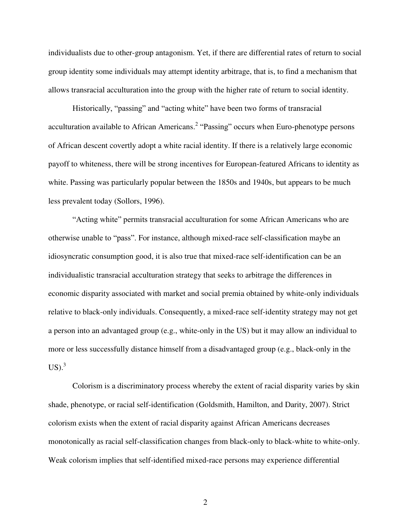individualists due to other-group antagonism. Yet, if there are differential rates of return to social group identity some individuals may attempt identity arbitrage, that is, to find a mechanism that allows transracial acculturation into the group with the higher rate of return to social identity.

Historically, "passing" and "acting white" have been two forms of transracial acculturation available to African Americans.<sup>2</sup> "Passing" occurs when Euro-phenotype persons of African descent covertly adopt a white racial identity. If there is a relatively large economic payoff to whiteness, there will be strong incentives for European-featured Africans to identity as white. Passing was particularly popular between the 1850s and 1940s, but appears to be much less prevalent today (Sollors, 1996).

"Acting white" permits transracial acculturation for some African Americans who are otherwise unable to "pass". For instance, although mixed-race self-classification maybe an idiosyncratic consumption good, it is also true that mixed-race self-identification can be an individualistic transracial acculturation strategy that seeks to arbitrage the differences in economic disparity associated with market and social premia obtained by white-only individuals relative to black-only individuals. Consequently, a mixed-race self-identity strategy may not get a person into an advantaged group (e.g., white-only in the US) but it may allow an individual to more or less successfully distance himself from a disadvantaged group (e.g., black-only in the  $US<sup>3</sup>$ 

Colorism is a discriminatory process whereby the extent of racial disparity varies by skin shade, phenotype, or racial self-identification (Goldsmith, Hamilton, and Darity, 2007). Strict colorism exists when the extent of racial disparity against African Americans decreases monotonically as racial self-classification changes from black-only to black-white to white-only. Weak colorism implies that self-identified mixed-race persons may experience differential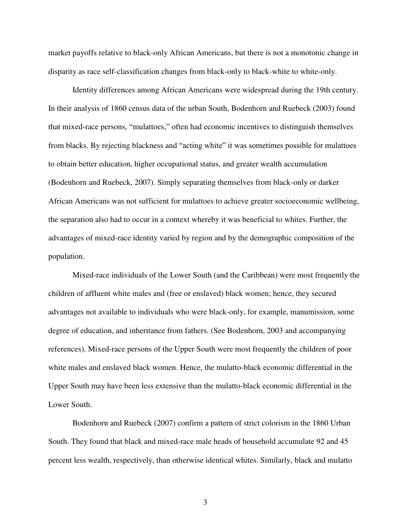market payoffs relative to black-only African Americans, but there is not a monotonic change in disparity as race self-classification changes from black-only to black-white to white-only.

 Identity differences among African Americans were widespread during the 19th century. In their analysis of 1860 census data of the urban South, Bodenhorn and Ruebeck (2003) found that mixed-race persons, "mulattoes," often had economic incentives to distinguish themselves from blacks. By rejecting blackness and "acting white" it was sometimes possible for mulattoes to obtain better education, higher occupational status, and greater wealth accumulation (Bodenhorn and Ruebeck, 2007). Simply separating themselves from black-only or darker African Americans was not sufficient for mulattoes to achieve greater socioeconomic wellbeing, the separation also had to occur in a context whereby it was beneficial to whites. Further, the advantages of mixed-race identity varied by region and by the demographic composition of the population.

 Mixed-race individuals of the Lower South (and the Caribbean) were most frequently the children of affluent white males and (free or enslaved) black women; hence, they secured advantages not available to individuals who were black-only, for example, manumission, some degree of education, and inheritance from fathers. (See Bodenhorn, 2003 and accompanying references). Mixed-race persons of the Upper South were most frequently the children of poor white males and enslaved black women. Hence, the mulatto-black economic differential in the Upper South may have been less extensive than the mulatto-black economic differential in the Lower South.

 Bodenhorn and Ruebeck (2007) confirm a pattern of strict colorism in the 1860 Urban South. They found that black and mixed-race male heads of household accumulate 92 and 45 percent less wealth, respectively, than otherwise identical whites. Similarly, black and mulatto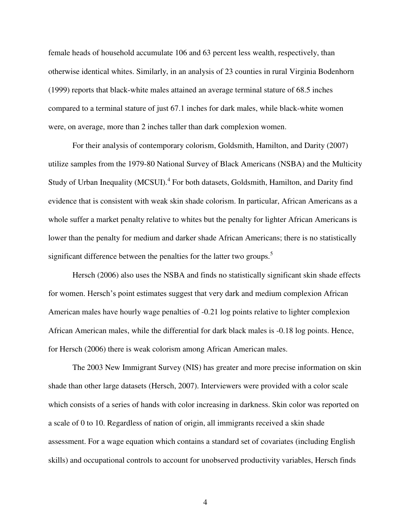female heads of household accumulate 106 and 63 percent less wealth, respectively, than otherwise identical whites. Similarly, in an analysis of 23 counties in rural Virginia Bodenhorn (1999) reports that black-white males attained an average terminal stature of 68.5 inches compared to a terminal stature of just 67.1 inches for dark males, while black-white women were, on average, more than 2 inches taller than dark complexion women.

 For their analysis of contemporary colorism, Goldsmith, Hamilton, and Darity (2007) utilize samples from the 1979-80 National Survey of Black Americans (NSBA) and the Multicity Study of Urban Inequality (MCSUI).<sup>4</sup> For both datasets, Goldsmith, Hamilton, and Darity find evidence that is consistent with weak skin shade colorism. In particular, African Americans as a whole suffer a market penalty relative to whites but the penalty for lighter African Americans is lower than the penalty for medium and darker shade African Americans; there is no statistically significant difference between the penalties for the latter two groups.<sup>5</sup>

 Hersch (2006) also uses the NSBA and finds no statistically significant skin shade effects for women. Hersch's point estimates suggest that very dark and medium complexion African American males have hourly wage penalties of -0.21 log points relative to lighter complexion African American males, while the differential for dark black males is -0.18 log points. Hence, for Hersch (2006) there is weak colorism among African American males.

 The 2003 New Immigrant Survey (NIS) has greater and more precise information on skin shade than other large datasets (Hersch, 2007). Interviewers were provided with a color scale which consists of a series of hands with color increasing in darkness. Skin color was reported on a scale of 0 to 10. Regardless of nation of origin, all immigrants received a skin shade assessment. For a wage equation which contains a standard set of covariates (including English skills) and occupational controls to account for unobserved productivity variables, Hersch finds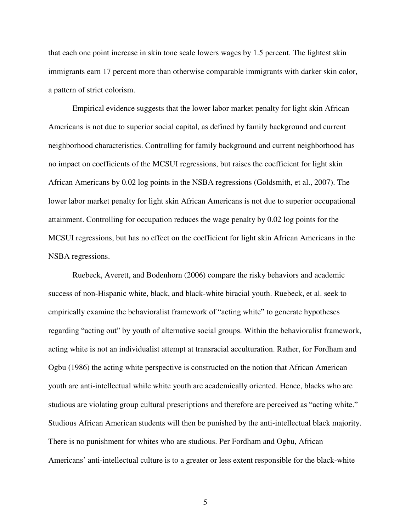that each one point increase in skin tone scale lowers wages by 1.5 percent. The lightest skin immigrants earn 17 percent more than otherwise comparable immigrants with darker skin color, a pattern of strict colorism.

 Empirical evidence suggests that the lower labor market penalty for light skin African Americans is not due to superior social capital, as defined by family background and current neighborhood characteristics. Controlling for family background and current neighborhood has no impact on coefficients of the MCSUI regressions, but raises the coefficient for light skin African Americans by 0.02 log points in the NSBA regressions (Goldsmith, et al., 2007). The lower labor market penalty for light skin African Americans is not due to superior occupational attainment. Controlling for occupation reduces the wage penalty by 0.02 log points for the MCSUI regressions, but has no effect on the coefficient for light skin African Americans in the NSBA regressions.

 Ruebeck, Averett, and Bodenhorn (2006) compare the risky behaviors and academic success of non-Hispanic white, black, and black-white biracial youth. Ruebeck, et al. seek to empirically examine the behavioralist framework of "acting white" to generate hypotheses regarding "acting out" by youth of alternative social groups. Within the behavioralist framework, acting white is not an individualist attempt at transracial acculturation. Rather, for Fordham and Ogbu (1986) the acting white perspective is constructed on the notion that African American youth are anti-intellectual while white youth are academically oriented. Hence, blacks who are studious are violating group cultural prescriptions and therefore are perceived as "acting white." Studious African American students will then be punished by the anti-intellectual black majority. There is no punishment for whites who are studious. Per Fordham and Ogbu, African Americans" anti-intellectual culture is to a greater or less extent responsible for the black-white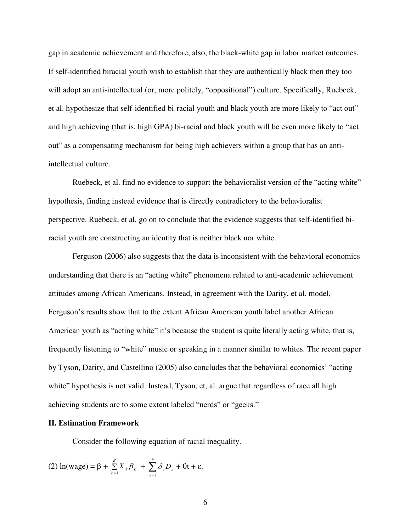gap in academic achievement and therefore, also, the black-white gap in labor market outcomes. If self-identified biracial youth wish to establish that they are authentically black then they too will adopt an anti-intellectual (or, more politely, "oppositional") culture. Specifically, Ruebeck, et al. hypothesize that self-identified bi-racial youth and black youth are more likely to "act out" and high achieving (that is, high GPA) bi-racial and black youth will be even more likely to "act out" as a compensating mechanism for being high achievers within a group that has an antiintellectual culture.

Ruebeck, et al. find no evidence to support the behavioralist version of the "acting white" hypothesis, finding instead evidence that is directly contradictory to the behavioralist perspective. Ruebeck, et al. go on to conclude that the evidence suggests that self-identified biracial youth are constructing an identity that is neither black nor white.

Ferguson (2006) also suggests that the data is inconsistent with the behavioral economics understanding that there is an "acting white" phenomena related to anti-academic achievement attitudes among African Americans. Instead, in agreement with the Darity, et al. model, Ferguson"s results show that to the extent African American youth label another African American youth as "acting white" it's because the student is quite literally acting white, that is, frequently listening to "white" music or speaking in a manner similar to whites. The recent paper by Tyson, Darity, and Castellino (2005) also concludes that the behavioral economics" "acting white" hypothesis is not valid. Instead, Tyson, et, al. argue that regardless of race all high achieving students are to some extent labeled "nerds" or "geeks."

#### **II. Estimation Framework**

Consider the following equation of racial inequality.

(2) 
$$
\ln(\text{wage}) = \beta + \sum_{k=1}^{K} X_k \beta_k + \sum_{e=1}^{4} \delta_e D_e + \theta t + \varepsilon.
$$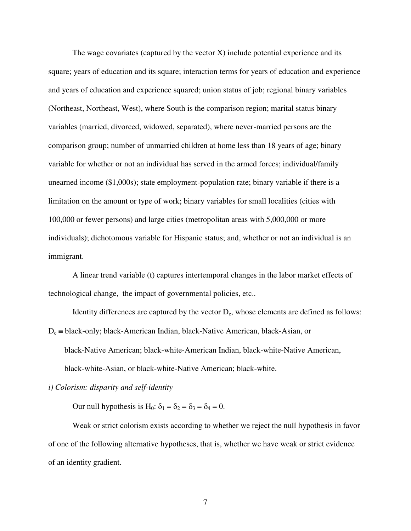The wage covariates (captured by the vector  $X$ ) include potential experience and its square; years of education and its square; interaction terms for years of education and experience and years of education and experience squared; union status of job; regional binary variables (Northeast, Northeast, West), where South is the comparison region; marital status binary variables (married, divorced, widowed, separated), where never-married persons are the comparison group; number of unmarried children at home less than 18 years of age; binary variable for whether or not an individual has served in the armed forces; individual/family unearned income (\$1,000s); state employment-population rate; binary variable if there is a limitation on the amount or type of work; binary variables for small localities (cities with 100,000 or fewer persons) and large cities (metropolitan areas with 5,000,000 or more individuals); dichotomous variable for Hispanic status; and, whether or not an individual is an immigrant.

 A linear trend variable (t) captures intertemporal changes in the labor market effects of technological change, the impact of governmental policies, etc..

Identity differences are captured by the vector  $D_e$ , whose elements are defined as follows:  $D_e \equiv$  black-only; black-American Indian, black-Native American, black-Asian, or

black-Native American; black-white-American Indian, black-white-Native American,

black-white-Asian, or black-white-Native American; black-white.

## *i) Colorism: disparity and self-identity*

Our null hypothesis is H<sub>0</sub>:  $\delta_1 = \delta_2 = \delta_3 = \delta_4 = 0$ .

Weak or strict colorism exists according to whether we reject the null hypothesis in favor of one of the following alternative hypotheses, that is, whether we have weak or strict evidence of an identity gradient.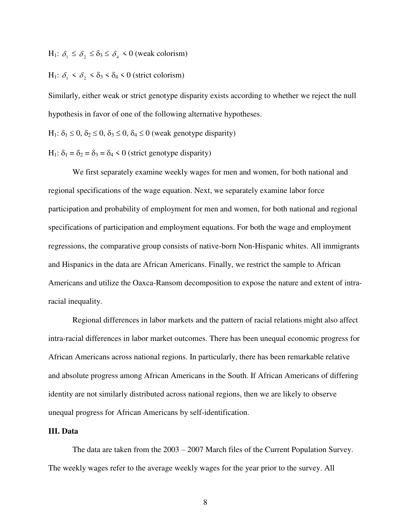$H_1$ :  $\delta_1 \leq \delta_2 \leq \delta_3 \leq \delta_4 < 0$  (weak colorism)

 $H_1$ :  $\delta_1 < \delta_2 < \delta_3 < \delta_4 < 0$  (strict colorism)

Similarly, either weak or strict genotype disparity exists according to whether we reject the null hypothesis in favor of one of the following alternative hypotheses.

 $H_1$ :  $\delta_1 \leq 0$ ,  $\delta_2 \leq 0$ ,  $\delta_3 \leq 0$ ,  $\delta_4 \leq 0$  (weak genotype disparity)

H<sub>1</sub>:  $\delta_1 = \delta_2 = \delta_3 = \delta_4 < 0$  (strict genotype disparity)

 We first separately examine weekly wages for men and women, for both national and regional specifications of the wage equation. Next, we separately examine labor force participation and probability of employment for men and women, for both national and regional specifications of participation and employment equations. For both the wage and employment regressions, the comparative group consists of native-born Non-Hispanic whites. All immigrants and Hispanics in the data are African Americans. Finally, we restrict the sample to African Americans and utilize the Oaxca-Ransom decomposition to expose the nature and extent of intraracial inequality.

 Regional differences in labor markets and the pattern of racial relations might also affect intra-racial differences in labor market outcomes. There has been unequal economic progress for African Americans across national regions. In particularly, there has been remarkable relative and absolute progress among African Americans in the South. If African Americans of differing identity are not similarly distributed across national regions, then we are likely to observe unequal progress for African Americans by self-identification.

# **III. Data**

The data are taken from the 2003 – 2007 March files of the Current Population Survey. The weekly wages refer to the average weekly wages for the year prior to the survey. All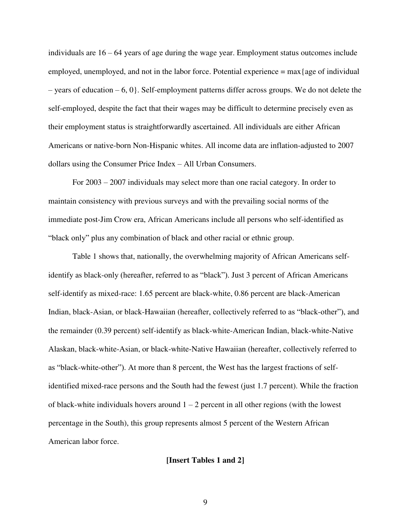individuals are 16 – 64 years of age during the wage year. Employment status outcomes include employed, unemployed, and not in the labor force. Potential experience  $= max$  {age of individual  $-$  years of education  $-6, 0$ . Self-employment patterns differ across groups. We do not delete the self-employed, despite the fact that their wages may be difficult to determine precisely even as their employment status is straightforwardly ascertained. All individuals are either African Americans or native-born Non-Hispanic whites. All income data are inflation-adjusted to 2007 dollars using the Consumer Price Index – All Urban Consumers.

 For 2003 – 2007 individuals may select more than one racial category. In order to maintain consistency with previous surveys and with the prevailing social norms of the immediate post-Jim Crow era, African Americans include all persons who self-identified as "black only" plus any combination of black and other racial or ethnic group.

 Table 1 shows that, nationally, the overwhelming majority of African Americans selfidentify as black-only (hereafter, referred to as "black"). Just 3 percent of African Americans self-identify as mixed-race: 1.65 percent are black-white, 0.86 percent are black-American Indian, black-Asian, or black-Hawaiian (hereafter, collectively referred to as "black-other"), and the remainder (0.39 percent) self-identify as black-white-American Indian, black-white-Native Alaskan, black-white-Asian, or black-white-Native Hawaiian (hereafter, collectively referred to as "black-white-other"). At more than 8 percent, the West has the largest fractions of selfidentified mixed-race persons and the South had the fewest (just 1.7 percent). While the fraction of black-white individuals hovers around  $1 - 2$  percent in all other regions (with the lowest percentage in the South), this group represents almost 5 percent of the Western African American labor force.

### **[Insert Tables 1 and 2]**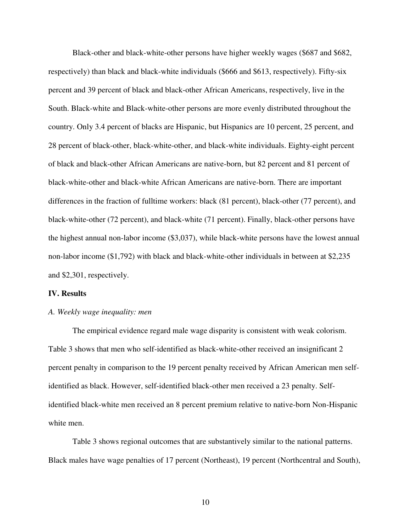Black-other and black-white-other persons have higher weekly wages (\$687 and \$682, respectively) than black and black-white individuals (\$666 and \$613, respectively). Fifty-six percent and 39 percent of black and black-other African Americans, respectively, live in the South. Black-white and Black-white-other persons are more evenly distributed throughout the country. Only 3.4 percent of blacks are Hispanic, but Hispanics are 10 percent, 25 percent, and 28 percent of black-other, black-white-other, and black-white individuals. Eighty-eight percent of black and black-other African Americans are native-born, but 82 percent and 81 percent of black-white-other and black-white African Americans are native-born. There are important differences in the fraction of fulltime workers: black (81 percent), black-other (77 percent), and black-white-other (72 percent), and black-white (71 percent). Finally, black-other persons have the highest annual non-labor income (\$3,037), while black-white persons have the lowest annual non-labor income (\$1,792) with black and black-white-other individuals in between at \$2,235 and \$2,301, respectively.

### **IV. Results**

### *A. Weekly wage inequality: men*

 The empirical evidence regard male wage disparity is consistent with weak colorism. Table 3 shows that men who self-identified as black-white-other received an insignificant 2 percent penalty in comparison to the 19 percent penalty received by African American men selfidentified as black. However, self-identified black-other men received a 23 penalty. Selfidentified black-white men received an 8 percent premium relative to native-born Non-Hispanic white men.

 Table 3 shows regional outcomes that are substantively similar to the national patterns. Black males have wage penalties of 17 percent (Northeast), 19 percent (Northcentral and South),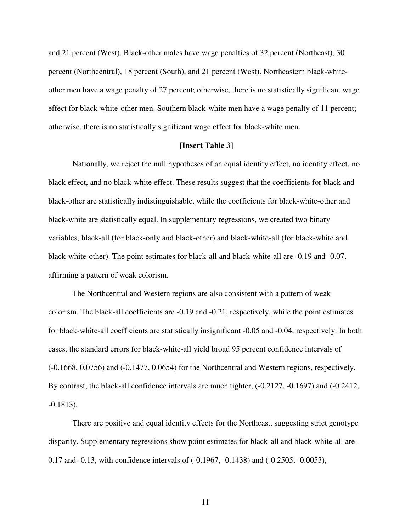and 21 percent (West). Black-other males have wage penalties of 32 percent (Northeast), 30 percent (Northcentral), 18 percent (South), and 21 percent (West). Northeastern black-whiteother men have a wage penalty of 27 percent; otherwise, there is no statistically significant wage effect for black-white-other men. Southern black-white men have a wage penalty of 11 percent; otherwise, there is no statistically significant wage effect for black-white men.

## **[Insert Table 3]**

Nationally, we reject the null hypotheses of an equal identity effect, no identity effect, no black effect, and no black-white effect. These results suggest that the coefficients for black and black-other are statistically indistinguishable, while the coefficients for black-white-other and black-white are statistically equal. In supplementary regressions, we created two binary variables, black-all (for black-only and black-other) and black-white-all (for black-white and black-white-other). The point estimates for black-all and black-white-all are -0.19 and -0.07, affirming a pattern of weak colorism.

The Northcentral and Western regions are also consistent with a pattern of weak colorism. The black-all coefficients are -0.19 and -0.21, respectively, while the point estimates for black-white-all coefficients are statistically insignificant -0.05 and -0.04, respectively. In both cases, the standard errors for black-white-all yield broad 95 percent confidence intervals of (-0.1668, 0.0756) and (-0.1477, 0.0654) for the Northcentral and Western regions, respectively. By contrast, the black-all confidence intervals are much tighter, (-0.2127, -0.1697) and (-0.2412, -0.1813).

 There are positive and equal identity effects for the Northeast, suggesting strict genotype disparity. Supplementary regressions show point estimates for black-all and black-white-all are - 0.17 and -0.13, with confidence intervals of (-0.1967, -0.1438) and (-0.2505, -0.0053),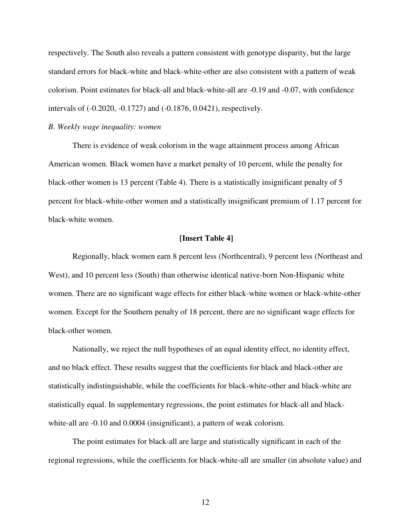respectively. The South also reveals a pattern consistent with genotype disparity, but the large standard errors for black-white and black-white-other are also consistent with a pattern of weak colorism. Point estimates for black-all and black-white-all are -0.19 and -0.07, with confidence intervals of (-0.2020, -0.1727) and (-0.1876, 0.0421), respectively.

#### *B. Weekly wage inequality: women*

 There is evidence of weak colorism in the wage attainment process among African American women. Black women have a market penalty of 10 percent, while the penalty for black-other women is 13 percent (Table 4). There is a statistically insignificant penalty of 5 percent for black-white-other women and a statistically insignificant premium of 1.17 percent for black-white women.

## **[Insert Table 4]**

 Regionally, black women earn 8 percent less (Northcentral), 9 percent less (Northeast and West), and 10 percent less (South) than otherwise identical native-born Non-Hispanic white women. There are no significant wage effects for either black-white women or black-white-other women. Except for the Southern penalty of 18 percent, there are no significant wage effects for black-other women.

Nationally, we reject the null hypotheses of an equal identity effect, no identity effect, and no black effect. These results suggest that the coefficients for black and black-other are statistically indistinguishable, while the coefficients for black-white-other and black-white are statistically equal. In supplementary regressions, the point estimates for black-all and blackwhite-all are -0.10 and 0.0004 (insignificant), a pattern of weak colorism.

The point estimates for black-all are large and statistically significant in each of the regional regressions, while the coefficients for black-white-all are smaller (in absolute value) and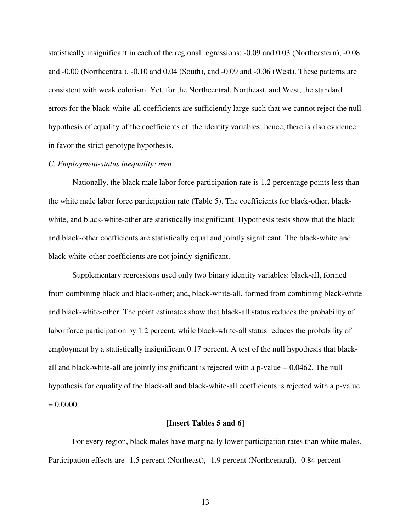statistically insignificant in each of the regional regressions: -0.09 and 0.03 (Northeastern), -0.08 and -0.00 (Northcentral), -0.10 and 0.04 (South), and -0.09 and -0.06 (West). These patterns are consistent with weak colorism. Yet, for the Northcentral, Northeast, and West, the standard errors for the black-white-all coefficients are sufficiently large such that we cannot reject the null hypothesis of equality of the coefficients of the identity variables; hence, there is also evidence in favor the strict genotype hypothesis.

## *C. Employment-status inequality: men*

Nationally, the black male labor force participation rate is 1.2 percentage points less than the white male labor force participation rate (Table 5). The coefficients for black-other, blackwhite, and black-white-other are statistically insignificant. Hypothesis tests show that the black and black-other coefficients are statistically equal and jointly significant. The black-white and black-white-other coefficients are not jointly significant.

Supplementary regressions used only two binary identity variables: black-all, formed from combining black and black-other; and, black-white-all, formed from combining black-white and black-white-other. The point estimates show that black-all status reduces the probability of labor force participation by 1.2 percent, while black-white-all status reduces the probability of employment by a statistically insignificant 0.17 percent. A test of the null hypothesis that blackall and black-white-all are jointly insignificant is rejected with a p-value = 0.0462. The null hypothesis for equality of the black-all and black-white-all coefficients is rejected with a p-value  $= 0.0000$ .

#### **[Insert Tables 5 and 6]**

 For every region, black males have marginally lower participation rates than white males. Participation effects are -1.5 percent (Northeast), -1.9 percent (Northcentral), -0.84 percent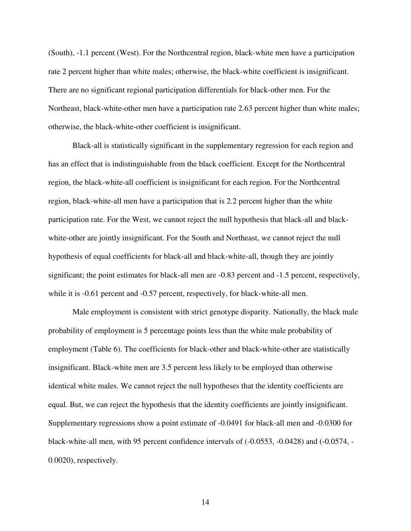(South), -1.1 percent (West). For the Northcentral region, black-white men have a participation rate 2 percent higher than white males; otherwise, the black-white coefficient is insignificant. There are no significant regional participation differentials for black-other men. For the Northeast, black-white-other men have a participation rate 2.63 percent higher than white males; otherwise, the black-white-other coefficient is insignificant.

 Black-all is statistically significant in the supplementary regression for each region and has an effect that is indistinguishable from the black coefficient. Except for the Northcentral region, the black-white-all coefficient is insignificant for each region. For the Northcentral region, black-white-all men have a participation that is 2.2 percent higher than the white participation rate. For the West, we cannot reject the null hypothesis that black-all and blackwhite-other are jointly insignificant. For the South and Northeast, we cannot reject the null hypothesis of equal coefficients for black-all and black-white-all, though they are jointly significant; the point estimates for black-all men are -0.83 percent and -1.5 percent, respectively, while it is  $-0.61$  percent and  $-0.57$  percent, respectively, for black-white-all men.

Male employment is consistent with strict genotype disparity. Nationally, the black male probability of employment is 5 percentage points less than the white male probability of employment (Table 6). The coefficients for black-other and black-white-other are statistically insignificant. Black-white men are 3.5 percent less likely to be employed than otherwise identical white males. We cannot reject the null hypotheses that the identity coefficients are equal. But, we can reject the hypothesis that the identity coefficients are jointly insignificant. Supplementary regressions show a point estimate of -0.0491 for black-all men and -0.0300 for black-white-all men, with 95 percent confidence intervals of (-0.0553, -0.0428) and (-0.0574, - 0.0020), respectively.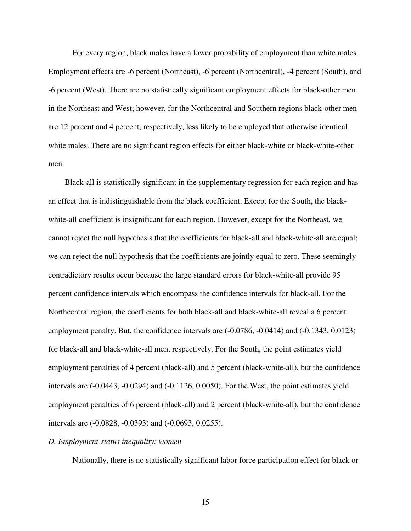For every region, black males have a lower probability of employment than white males. Employment effects are -6 percent (Northeast), -6 percent (Northcentral), -4 percent (South), and -6 percent (West). There are no statistically significant employment effects for black-other men in the Northeast and West; however, for the Northcentral and Southern regions black-other men are 12 percent and 4 percent, respectively, less likely to be employed that otherwise identical white males. There are no significant region effects for either black-white or black-white-other men.

 Black-all is statistically significant in the supplementary regression for each region and has an effect that is indistinguishable from the black coefficient. Except for the South, the blackwhite-all coefficient is insignificant for each region. However, except for the Northeast, we cannot reject the null hypothesis that the coefficients for black-all and black-white-all are equal; we can reject the null hypothesis that the coefficients are jointly equal to zero. These seemingly contradictory results occur because the large standard errors for black-white-all provide 95 percent confidence intervals which encompass the confidence intervals for black-all. For the Northcentral region, the coefficients for both black-all and black-white-all reveal a 6 percent employment penalty. But, the confidence intervals are  $(-0.0786, -0.0414)$  and  $(-0.1343, 0.0123)$ for black-all and black-white-all men, respectively. For the South, the point estimates yield employment penalties of 4 percent (black-all) and 5 percent (black-white-all), but the confidence intervals are (-0.0443, -0.0294) and (-0.1126, 0.0050). For the West, the point estimates yield employment penalties of 6 percent (black-all) and 2 percent (black-white-all), but the confidence intervals are (-0.0828, -0.0393) and (-0.0693, 0.0255).

#### *D. Employment-status inequality: women*

Nationally, there is no statistically significant labor force participation effect for black or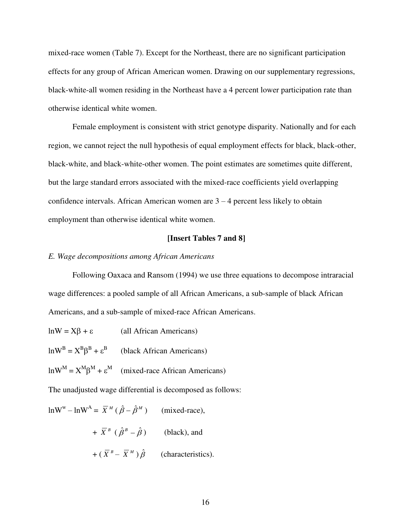mixed-race women (Table 7). Except for the Northeast, there are no significant participation effects for any group of African American women. Drawing on our supplementary regressions, black-white-all women residing in the Northeast have a 4 percent lower participation rate than otherwise identical white women.

 Female employment is consistent with strict genotype disparity. Nationally and for each region, we cannot reject the null hypothesis of equal employment effects for black, black-other, black-white, and black-white-other women. The point estimates are sometimes quite different, but the large standard errors associated with the mixed-race coefficients yield overlapping confidence intervals. African American women are 3 – 4 percent less likely to obtain employment than otherwise identical white women.

## **[Insert Tables 7 and 8]**

## *E. Wage decompositions among African Americans*

Following Oaxaca and Ransom (1994) we use three equations to decompose intraracial wage differences: a pooled sample of all African Americans, a sub-sample of black African Americans, and a sub-sample of mixed-race African Americans.

 $ln W = X\beta + \varepsilon$  (all African Americans)  $\ln W^B = X^B \beta^B + \varepsilon^B$  (black African Americans)

 $\ln W^M = X^M \beta^M + \varepsilon^M$  (mixed-race African Americans)

The unadjusted wage differential is decomposed as follows:

 $\ln W^{\text{w}} - \ln W^{\text{A}} = \overline{X}^M (\hat{\beta} - \hat{\beta}^M)$  (mixed-race),  $+\overline{X}^B$  ( $\hat{\beta}^B - \hat{\beta}$ ) (black), and

 $+ (\overline{X}^B - \overline{X}^M) \hat{\beta}$  (characteristics).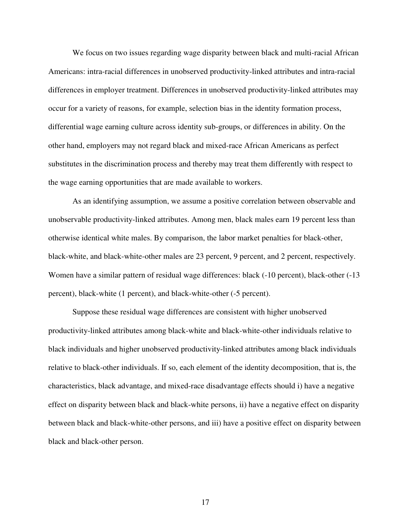We focus on two issues regarding wage disparity between black and multi-racial African Americans: intra-racial differences in unobserved productivity-linked attributes and intra-racial differences in employer treatment. Differences in unobserved productivity-linked attributes may occur for a variety of reasons, for example, selection bias in the identity formation process, differential wage earning culture across identity sub-groups, or differences in ability. On the other hand, employers may not regard black and mixed-race African Americans as perfect substitutes in the discrimination process and thereby may treat them differently with respect to the wage earning opportunities that are made available to workers.

As an identifying assumption, we assume a positive correlation between observable and unobservable productivity-linked attributes. Among men, black males earn 19 percent less than otherwise identical white males. By comparison, the labor market penalties for black-other, black-white, and black-white-other males are 23 percent, 9 percent, and 2 percent, respectively. Women have a similar pattern of residual wage differences: black (-10 percent), black-other (-13 percent), black-white (1 percent), and black-white-other (-5 percent).

Suppose these residual wage differences are consistent with higher unobserved productivity-linked attributes among black-white and black-white-other individuals relative to black individuals and higher unobserved productivity-linked attributes among black individuals relative to black-other individuals. If so, each element of the identity decomposition, that is, the characteristics, black advantage, and mixed-race disadvantage effects should i) have a negative effect on disparity between black and black-white persons, ii) have a negative effect on disparity between black and black-white-other persons, and iii) have a positive effect on disparity between black and black-other person.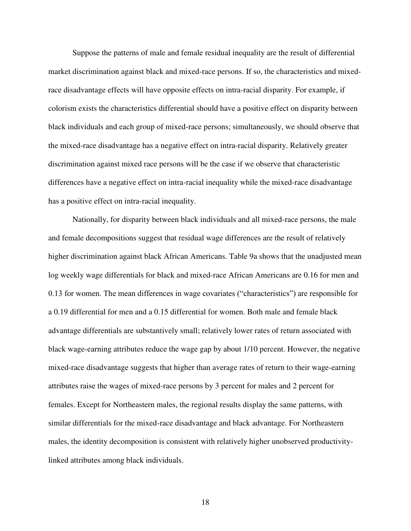Suppose the patterns of male and female residual inequality are the result of differential market discrimination against black and mixed-race persons. If so, the characteristics and mixedrace disadvantage effects will have opposite effects on intra-racial disparity. For example, if colorism exists the characteristics differential should have a positive effect on disparity between black individuals and each group of mixed-race persons; simultaneously, we should observe that the mixed-race disadvantage has a negative effect on intra-racial disparity. Relatively greater discrimination against mixed race persons will be the case if we observe that characteristic differences have a negative effect on intra-racial inequality while the mixed-race disadvantage has a positive effect on intra-racial inequality.

 Nationally, for disparity between black individuals and all mixed-race persons, the male and female decompositions suggest that residual wage differences are the result of relatively higher discrimination against black African Americans. Table 9a shows that the unadjusted mean log weekly wage differentials for black and mixed-race African Americans are 0.16 for men and 0.13 for women. The mean differences in wage covariates ("characteristics") are responsible for a 0.19 differential for men and a 0.15 differential for women. Both male and female black advantage differentials are substantively small; relatively lower rates of return associated with black wage-earning attributes reduce the wage gap by about 1/10 percent. However, the negative mixed-race disadvantage suggests that higher than average rates of return to their wage-earning attributes raise the wages of mixed-race persons by 3 percent for males and 2 percent for females. Except for Northeastern males, the regional results display the same patterns, with similar differentials for the mixed-race disadvantage and black advantage. For Northeastern males, the identity decomposition is consistent with relatively higher unobserved productivitylinked attributes among black individuals.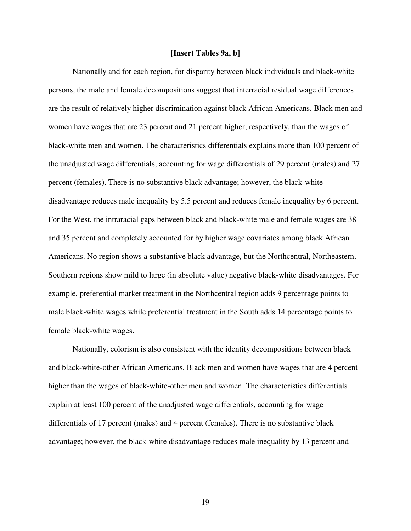## **[Insert Tables 9a, b]**

 Nationally and for each region, for disparity between black individuals and black-white persons, the male and female decompositions suggest that interracial residual wage differences are the result of relatively higher discrimination against black African Americans. Black men and women have wages that are 23 percent and 21 percent higher, respectively, than the wages of black-white men and women. The characteristics differentials explains more than 100 percent of the unadjusted wage differentials, accounting for wage differentials of 29 percent (males) and 27 percent (females). There is no substantive black advantage; however, the black-white disadvantage reduces male inequality by 5.5 percent and reduces female inequality by 6 percent. For the West, the intraracial gaps between black and black-white male and female wages are 38 and 35 percent and completely accounted for by higher wage covariates among black African Americans. No region shows a substantive black advantage, but the Northcentral, Northeastern, Southern regions show mild to large (in absolute value) negative black-white disadvantages. For example, preferential market treatment in the Northcentral region adds 9 percentage points to male black-white wages while preferential treatment in the South adds 14 percentage points to female black-white wages.

 Nationally, colorism is also consistent with the identity decompositions between black and black-white-other African Americans. Black men and women have wages that are 4 percent higher than the wages of black-white-other men and women. The characteristics differentials explain at least 100 percent of the unadjusted wage differentials, accounting for wage differentials of 17 percent (males) and 4 percent (females). There is no substantive black advantage; however, the black-white disadvantage reduces male inequality by 13 percent and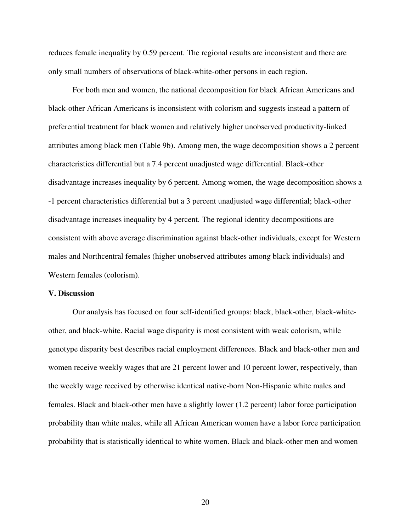reduces female inequality by 0.59 percent. The regional results are inconsistent and there are only small numbers of observations of black-white-other persons in each region.

 For both men and women, the national decomposition for black African Americans and black-other African Americans is inconsistent with colorism and suggests instead a pattern of preferential treatment for black women and relatively higher unobserved productivity-linked attributes among black men (Table 9b). Among men, the wage decomposition shows a 2 percent characteristics differential but a 7.4 percent unadjusted wage differential. Black-other disadvantage increases inequality by 6 percent. Among women, the wage decomposition shows a -1 percent characteristics differential but a 3 percent unadjusted wage differential; black-other disadvantage increases inequality by 4 percent. The regional identity decompositions are consistent with above average discrimination against black-other individuals, except for Western males and Northcentral females (higher unobserved attributes among black individuals) and Western females (colorism).

#### **V. Discussion**

 Our analysis has focused on four self-identified groups: black, black-other, black-whiteother, and black-white. Racial wage disparity is most consistent with weak colorism, while genotype disparity best describes racial employment differences. Black and black-other men and women receive weekly wages that are 21 percent lower and 10 percent lower, respectively, than the weekly wage received by otherwise identical native-born Non-Hispanic white males and females. Black and black-other men have a slightly lower (1.2 percent) labor force participation probability than white males, while all African American women have a labor force participation probability that is statistically identical to white women. Black and black-other men and women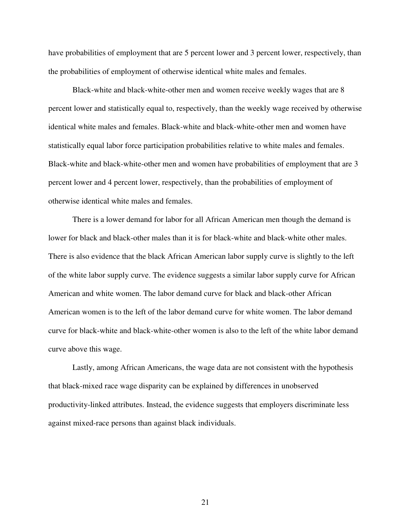have probabilities of employment that are 5 percent lower and 3 percent lower, respectively, than the probabilities of employment of otherwise identical white males and females.

 Black-white and black-white-other men and women receive weekly wages that are 8 percent lower and statistically equal to, respectively, than the weekly wage received by otherwise identical white males and females. Black-white and black-white-other men and women have statistically equal labor force participation probabilities relative to white males and females. Black-white and black-white-other men and women have probabilities of employment that are 3 percent lower and 4 percent lower, respectively, than the probabilities of employment of otherwise identical white males and females.

There is a lower demand for labor for all African American men though the demand is lower for black and black-other males than it is for black-white and black-white other males. There is also evidence that the black African American labor supply curve is slightly to the left of the white labor supply curve. The evidence suggests a similar labor supply curve for African American and white women. The labor demand curve for black and black-other African American women is to the left of the labor demand curve for white women. The labor demand curve for black-white and black-white-other women is also to the left of the white labor demand curve above this wage.

 Lastly, among African Americans, the wage data are not consistent with the hypothesis that black-mixed race wage disparity can be explained by differences in unobserved productivity-linked attributes. Instead, the evidence suggests that employers discriminate less against mixed-race persons than against black individuals.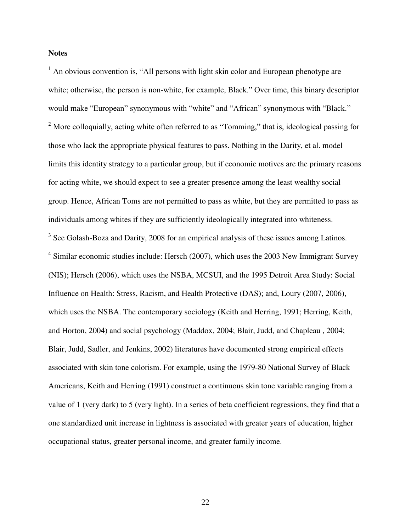# **Notes**

 $<sup>1</sup>$  An obvious convention is, "All persons with light skin color and European phenotype are</sup> white; otherwise, the person is non-white, for example, Black." Over time, this binary descriptor would make "European" synonymous with "white" and "African" synonymous with "Black." <sup>2</sup> More colloquially, acting white often referred to as "Tomming," that is, ideological passing for those who lack the appropriate physical features to pass. Nothing in the Darity, et al. model limits this identity strategy to a particular group, but if economic motives are the primary reasons for acting white, we should expect to see a greater presence among the least wealthy social group. Hence, African Toms are not permitted to pass as white, but they are permitted to pass as individuals among whites if they are sufficiently ideologically integrated into whiteness.  $3$  See Golash-Boza and Darity, 2008 for an empirical analysis of these issues among Latinos.  $4$  Similar economic studies include: Hersch (2007), which uses the 2003 New Immigrant Survey (NIS); Hersch (2006), which uses the NSBA, MCSUI, and the 1995 Detroit Area Study: Social Influence on Health: Stress, Racism, and Health Protective (DAS); and, Loury (2007, 2006), which uses the NSBA. The contemporary sociology (Keith and Herring, 1991; Herring, Keith, and Horton, 2004) and social psychology (Maddox, 2004; Blair, Judd, and Chapleau , 2004; Blair, Judd, Sadler, and Jenkins, 2002) literatures have documented strong empirical effects associated with skin tone colorism. For example, using the 1979-80 National Survey of Black Americans, Keith and Herring (1991) construct a continuous skin tone variable ranging from a value of 1 (very dark) to 5 (very light). In a series of beta coefficient regressions, they find that a one standardized unit increase in lightness is associated with greater years of education, higher occupational status, greater personal income, and greater family income.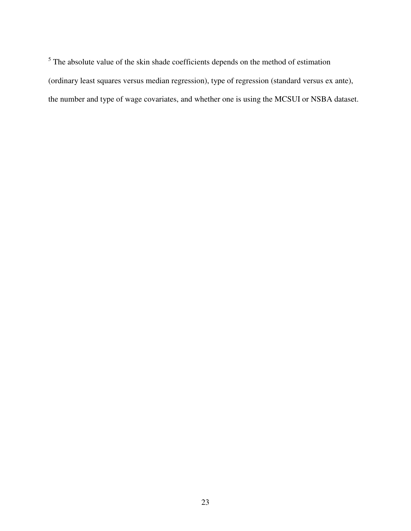$<sup>5</sup>$  The absolute value of the skin shade coefficients depends on the method of estimation</sup> (ordinary least squares versus median regression), type of regression (standard versus ex ante), the number and type of wage covariates, and whether one is using the MCSUI or NSBA dataset.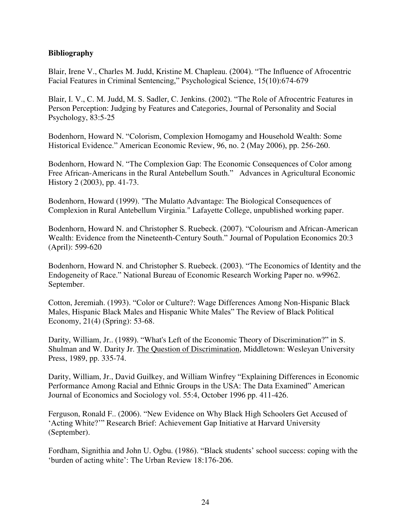# **Bibliography**

Blair, Irene V., Charles M. Judd, Kristine M. Chapleau. (2004). "The Influence of Afrocentric Facial Features in Criminal Sentencing," Psychological Science, 15(10):674-679

Blair, I. V., C. M. Judd, M. S. Sadler, C. Jenkins. (2002). "The Role of Afrocentric Features in Person Perception: Judging by Features and Categories, Journal of Personality and Social Psychology, 83:5-25

Bodenhorn, Howard N. "Colorism, Complexion Homogamy and Household Wealth: Some Historical Evidence." American Economic Review, 96, no. 2 (May 2006), pp. 256-260.

Bodenhorn, Howard N. "The Complexion Gap: The Economic Consequences of Color among Free African-Americans in the Rural Antebellum South." Advances in Agricultural Economic History 2 (2003), pp. 41-73.

Bodenhorn, Howard (1999). "The Mulatto Advantage: The Biological Consequences of Complexion in Rural Antebellum Virginia." Lafayette College, unpublished working paper.

Bodenhorn, Howard N. and Christopher S. Ruebeck. (2007). "Colourism and African-American Wealth: Evidence from the Nineteenth-Century South." Journal of Population Economics 20:3 (April): 599-620

Bodenhorn, Howard N. and Christopher S. Ruebeck. (2003). "The Economics of Identity and the Endogeneity of Race." National Bureau of Economic Research Working Paper no. w9962. September.

Cotton, Jeremiah. (1993). "Color or Culture?: Wage Differences Among Non-Hispanic Black Males, Hispanic Black Males and Hispanic White Males" The Review of Black Political Economy, 21(4) (Spring): 53-68.

Darity, William, Jr.. (1989). "What's Left of the Economic Theory of Discrimination?" in S. Shulman and W. Darity Jr. The Question of Discrimination, Middletown: Wesleyan University Press, 1989, pp. 335-74.

Darity, William, Jr., David Guilkey, and William Winfrey "Explaining Differences in Economic Performance Among Racial and Ethnic Groups in the USA: The Data Examined" American Journal of Economics and Sociology vol. 55:4, October 1996 pp. 411-426.

Ferguson, Ronald F.. (2006). "New Evidence on Why Black High Schoolers Get Accused of "Acting White?"" Research Brief: Achievement Gap Initiative at Harvard University (September).

Fordham, Signithia and John U. Ogbu. (1986). "Black students" school success: coping with the 'burden of acting white': The Urban Review 18:176-206.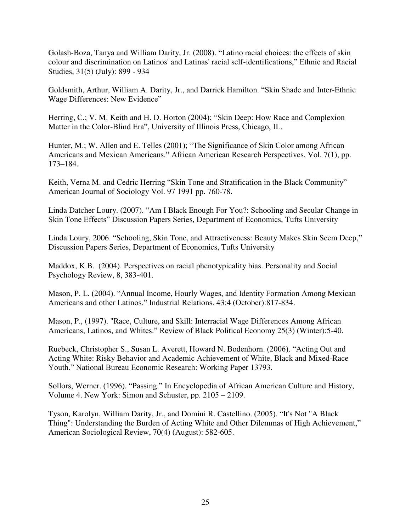Golash-Boza, Tanya and William Darity, Jr. (2008). "Latino racial choices: the effects of skin colour and discrimination on Latinos' and Latinas' racial self-identifications," Ethnic and Racial Studies, 31(5) (July): 899 - 934

Goldsmith, Arthur, William A. Darity, Jr., and Darrick Hamilton. "Skin Shade and Inter-Ethnic Wage Differences: New Evidence"

Herring, C.; V. M. Keith and H. D. Horton (2004); "Skin Deep: How Race and Complexion Matter in the Color-Blind Era", University of Illinois Press, Chicago, IL.

Hunter, M.; W. Allen and E. Telles (2001); "The Significance of Skin Color among African Americans and Mexican Americans." African American Research Perspectives, Vol. 7(1), pp. 173–184.

Keith, Verna M. and Cedric Herring "Skin Tone and Stratification in the Black Community" American Journal of Sociology Vol. 97 1991 pp. 760-78.

Linda Datcher Loury. (2007). "Am I Black Enough For You?: Schooling and Secular Change in Skin Tone Effects" Discussion Papers Series, Department of Economics, Tufts University

Linda Loury, 2006. "Schooling, Skin Tone, and Attractiveness: Beauty Makes Skin Seem Deep," Discussion Papers Series, Department of Economics, Tufts University

Maddox, K.B. (2004). Perspectives on racial phenotypicality bias. Personality and Social Psychology Review, 8, 383-401.

Mason, P. L. (2004). "Annual Income, Hourly Wages, and Identity Formation Among Mexican Americans and other Latinos." Industrial Relations. 43:4 (October):817-834.

Mason, P., (1997). "Race, Culture, and Skill: Interracial Wage Differences Among African Americans, Latinos, and Whites." Review of Black Political Economy 25(3) (Winter):5-40.

Ruebeck, Christopher S., Susan L. Averett, Howard N. Bodenhorn. (2006). "Acting Out and Acting White: Risky Behavior and Academic Achievement of White, Black and Mixed-Race Youth." National Bureau Economic Research: Working Paper 13793.

Sollors, Werner. (1996). "Passing." In Encyclopedia of African American Culture and History, Volume 4. New York: Simon and Schuster, pp. 2105 – 2109.

Tyson, Karolyn, William Darity, Jr., and Domini R. Castellino. (2005). "It's Not "A Black Thing": Understanding the Burden of Acting White and Other Dilemmas of High Achievement," American Sociological Review, 70(4) (August): 582-605.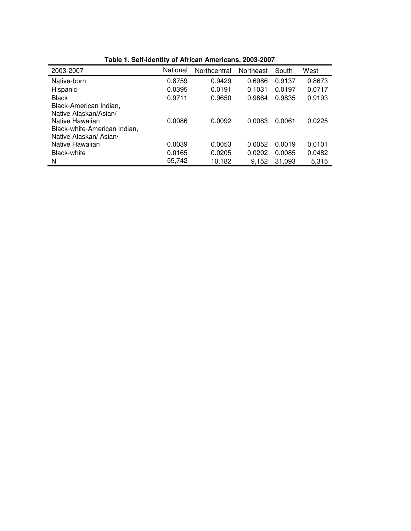| 2003-2007                    | National | Northcentral | Northeast | South  | West   |
|------------------------------|----------|--------------|-----------|--------|--------|
| Native-born                  | 0.8759   | 0.9429       | 0.6986    | 0.9137 | 0.8673 |
| Hispanic                     | 0.0395   | 0.0191       | 0.1031    | 0.0197 | 0.0717 |
| <b>Black</b>                 | 0.9711   | 0.9650       | 0.9664    | 0.9835 | 0.9193 |
| Black-American Indian,       |          |              |           |        |        |
| Native Alaskan/Asian/        |          |              |           |        |        |
| Native Hawaiian              | 0.0086   | 0.0092       | 0.0083    | 0.0061 | 0.0225 |
| Black-white-American Indian, |          |              |           |        |        |
| Native Alaskan/ Asian/       |          |              |           |        |        |
| Native Hawaiian              | 0.0039   | 0.0053       | 0.0052    | 0.0019 | 0.0101 |
| Black-white                  | 0.0165   | 0.0205       | 0.0202    | 0.0085 | 0.0482 |
| N                            | 55,742   | 10,182       | 9,152     | 31,093 | 5,315  |

**Table 1. Self-identity of African Americans, 2003-2007**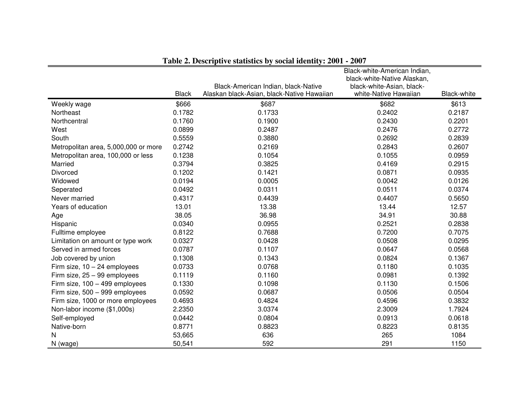|                                      |              |                                                                                   | Black-white-American Indian,                       |                    |
|--------------------------------------|--------------|-----------------------------------------------------------------------------------|----------------------------------------------------|--------------------|
|                                      |              |                                                                                   | black-white-Native Alaskan,                        |                    |
|                                      | <b>Black</b> | Black-American Indian, black-Native<br>Alaskan black-Asian, black-Native Hawaiian | black-white-Asian, black-<br>white-Native Hawaiian | <b>Black-white</b> |
| Weekly wage                          | \$666        | \$687                                                                             | \$682                                              | \$613              |
| Northeast                            | 0.1782       | 0.1733                                                                            | 0.2402                                             | 0.2187             |
| Northcentral                         | 0.1760       | 0.1900                                                                            | 0.2430                                             | 0.2201             |
| West                                 | 0.0899       | 0.2487                                                                            | 0.2476                                             | 0.2772             |
| South                                | 0.5559       | 0.3880                                                                            | 0.2692                                             | 0.2839             |
|                                      | 0.2742       | 0.2169                                                                            | 0.2843                                             | 0.2607             |
| Metropolitan area, 5,000,000 or more |              |                                                                                   |                                                    |                    |
| Metropolitan area, 100,000 or less   | 0.1238       | 0.1054                                                                            | 0.1055                                             | 0.0959             |
| Married                              | 0.3794       | 0.3825                                                                            | 0.4169                                             | 0.2915             |
| Divorced                             | 0.1202       | 0.1421                                                                            | 0.0871                                             | 0.0935             |
| Widowed                              | 0.0194       | 0.0005                                                                            | 0.0042                                             | 0.0126             |
| Seperated                            | 0.0492       | 0.0311                                                                            | 0.0511                                             | 0.0374             |
| Never married                        | 0.4317       | 0.4439                                                                            | 0.4407                                             | 0.5650             |
| Years of education                   | 13.01        | 13.38                                                                             | 13.44                                              | 12.57              |
| Age                                  | 38.05        | 36.98                                                                             | 34.91                                              | 30.88              |
| Hispanic                             | 0.0340       | 0.0955                                                                            | 0.2521                                             | 0.2838             |
| Fulltime employee                    | 0.8122       | 0.7688                                                                            | 0.7200                                             | 0.7075             |
| Limitation on amount or type work    | 0.0327       | 0.0428                                                                            | 0.0508                                             | 0.0295             |
| Served in armed forces               | 0.0787       | 0.1107                                                                            | 0.0647                                             | 0.0568             |
| Job covered by union                 | 0.1308       | 0.1343                                                                            | 0.0824                                             | 0.1367             |
| Firm size, $10 - 24$ employees       | 0.0733       | 0.0768                                                                            | 0.1180                                             | 0.1035             |
| Firm size, 25 - 99 employees         | 0.1119       | 0.1160                                                                            | 0.0981                                             | 0.1392             |
| Firm size, 100 - 499 employees       | 0.1330       | 0.1098                                                                            | 0.1130                                             | 0.1506             |
| Firm size, 500 - 999 employees       | 0.0592       | 0.0687                                                                            | 0.0506                                             | 0.0504             |
| Firm size, 1000 or more employees    | 0.4693       | 0.4824                                                                            | 0.4596                                             | 0.3832             |
| Non-labor income (\$1,000s)          | 2.2350       | 3.0374                                                                            | 2.3009                                             | 1.7924             |
| Self-employed                        | 0.0442       | 0.0804                                                                            | 0.0913                                             | 0.0618             |
| Native-born                          | 0.8771       | 0.8823                                                                            | 0.8223                                             | 0.8135             |
| N                                    | 53,665       | 636                                                                               | 265                                                | 1084               |
| N (wage)                             | 50,541       | 592                                                                               | 291                                                | 1150               |

**Table 2. Descriptive statistics by social identity: 2001 - 2007**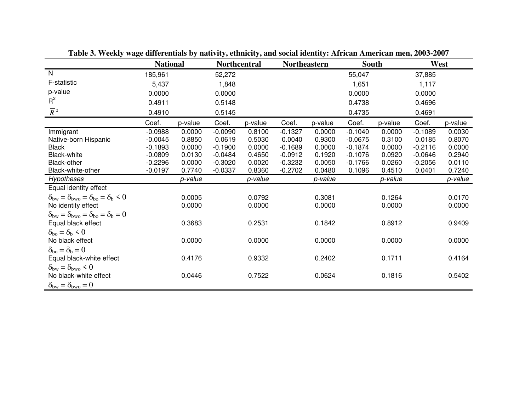|                                                                                            | <b>National</b> |         | <b>Northcentral</b> |         | <b>Northeastern</b> |         | <b>South</b> |         | West      |         |
|--------------------------------------------------------------------------------------------|-----------------|---------|---------------------|---------|---------------------|---------|--------------|---------|-----------|---------|
| N                                                                                          | 185,961         |         | 52,272              |         |                     |         | 55,047       |         | 37,885    |         |
| F-statistic                                                                                | 5,437           |         | 1,848               |         |                     |         | 1,651        |         | 1,117     |         |
| p-value                                                                                    | 0.0000          |         | 0.0000              |         |                     |         | 0.0000       |         | 0.0000    |         |
| $R^2$                                                                                      | 0.4911          |         | 0.5148              |         |                     |         | 0.4738       |         | 0.4696    |         |
| $\overline{R}^2$                                                                           | 0.4910          |         | 0.5145              |         |                     |         | 0.4735       |         | 0.4691    |         |
|                                                                                            | Coef.           | p-value | Coef.               | p-value | Coef.               | p-value | Coef.        | p-value | Coef.     | p-value |
| Immigrant                                                                                  | $-0.0988$       | 0.0000  | $-0.0090$           | 0.8100  | $-0.1327$           | 0.0000  | $-0.1040$    | 0.0000  | $-0.1089$ | 0.0030  |
| Native-born Hispanic                                                                       | $-0.0045$       | 0.8850  | 0.0619              | 0.5030  | 0.0040              | 0.9300  | $-0.0675$    | 0.3100  | 0.0185    | 0.8070  |
| <b>Black</b>                                                                               | $-0.1893$       | 0.0000  | $-0.1900$           | 0.0000  | $-0.1689$           | 0.0000  | $-0.1874$    | 0.0000  | $-0.2116$ | 0.0000  |
| <b>Black-white</b>                                                                         | $-0.0809$       | 0.0130  | $-0.0484$           | 0.4650  | $-0.0912$           | 0.1920  | $-0.1076$    | 0.0920  | $-0.0646$ | 0.2940  |
| Black-other                                                                                | $-0.2296$       | 0.0000  | $-0.3020$           | 0.0020  | $-0.3232$           | 0.0050  | $-0.1766$    | 0.0260  | $-0.2056$ | 0.0110  |
| Black-white-other                                                                          | $-0.0197$       | 0.7740  | $-0.0337$           | 0.8360  | $-0.2702$           | 0.0480  | 0.1096       | 0.4510  | 0.0401    | 0.7240  |
| Hypotheses                                                                                 |                 | p-value |                     | p-value |                     | p-value |              | p-value |           | p-value |
| Equal identity effect                                                                      |                 |         |                     |         |                     |         |              |         |           |         |
| $\delta_{\text{bw}} = \delta_{\text{bwo}} = \delta_{\text{bo}} = \delta_{\text{b}} \leq 0$ |                 | 0.0005  |                     | 0.0792  |                     | 0.3081  |              | 0.1264  |           | 0.0170  |
| No identity effect                                                                         |                 | 0.0000  |                     | 0.0000  |                     | 0.0000  |              | 0.0000  |           | 0.0000  |
| $\delta_{\text{bw}} = \delta_{\text{bwo}} = \delta_{\text{bo}} = \delta_{\text{b}} = 0$    |                 |         |                     |         |                     |         |              |         |           |         |
| Equal black effect                                                                         |                 | 0.3683  |                     | 0.2531  |                     | 0.1842  |              | 0.8912  |           | 0.9409  |
| $\delta_{\rm bo} = \delta_{\rm b} \leq 0$                                                  |                 |         |                     |         |                     |         |              |         |           |         |
| No black effect                                                                            |                 | 0.0000  |                     | 0.0000  |                     | 0.0000  |              | 0.0000  |           | 0.0000  |
| $\delta_{\rm bo} = \delta_{\rm b} = 0$                                                     |                 |         |                     |         |                     |         |              |         |           |         |
| Equal black-white effect                                                                   |                 | 0.4176  |                     | 0.9332  |                     | 0.2402  |              | 0.1711  |           | 0.4164  |
| $\delta_{\text{bw}} = \delta_{\text{bwo}} < 0$                                             |                 |         |                     |         |                     |         |              |         |           |         |
| No black-white effect                                                                      |                 | 0.0446  |                     | 0.7522  |                     | 0.0624  |              | 0.1816  |           | 0.5402  |
| $\delta_{\text{bw}} = \delta_{\text{bwo}} = 0$                                             |                 |         |                     |         |                     |         |              |         |           |         |

**Table 3. Weekly wage differentials by nativity, ethnicity, and social identity: African American men, 2003-2007**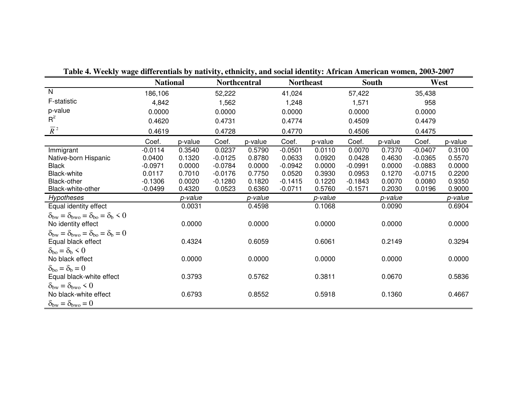|                                                                                                                              | <b>National</b> |         | <b>Northcentral</b> |         | <b>Northeast</b> |         | <b>South</b> |         |           | West    |
|------------------------------------------------------------------------------------------------------------------------------|-----------------|---------|---------------------|---------|------------------|---------|--------------|---------|-----------|---------|
| N                                                                                                                            | 186,106         |         | 52,222              |         | 41,024           |         | 57,422       |         | 35,438    |         |
| F-statistic                                                                                                                  | 4,842           |         | 1,562               |         | 1,248            |         | 1,571        |         | 958       |         |
| p-value                                                                                                                      | 0.0000          |         | 0.0000              |         | 0.0000           |         | 0.0000       |         | 0.0000    |         |
| $R^2$                                                                                                                        | 0.4620          |         | 0.4731              |         | 0.4774           |         | 0.4509       |         | 0.4479    |         |
| $\overline{R}^2$                                                                                                             | 0.4619          |         | 0.4728              |         | 0.4770           |         | 0.4506       |         | 0.4475    |         |
|                                                                                                                              | Coef.           | p-value | Coef.               | p-value | Coef.            | p-value | Coef.        | p-value | Coef.     | p-value |
| Immigrant                                                                                                                    | $-0.0114$       | 0.3540  | 0.0237              | 0.5790  | $-0.0501$        | 0.0110  | 0.0070       | 0.7370  | $-0.0407$ | 0.3100  |
| Native-born Hispanic                                                                                                         | 0.0400          | 0.1320  | $-0.0125$           | 0.8780  | 0.0633           | 0.0920  | 0.0428       | 0.4630  | $-0.0365$ | 0.5570  |
| <b>Black</b>                                                                                                                 | $-0.0971$       | 0.0000  | $-0.0784$           | 0.0000  | $-0.0942$        | 0.0000  | $-0.0991$    | 0.0000  | $-0.0883$ | 0.0000  |
| <b>Black-white</b>                                                                                                           | 0.0117          | 0.7010  | $-0.0176$           | 0.7750  | 0.0520           | 0.3930  | 0.0953       | 0.1270  | $-0.0715$ | 0.2200  |
| Black-other                                                                                                                  | $-0.1306$       | 0.0020  | $-0.1280$           | 0.1820  | $-0.1415$        | 0.1220  | $-0.1843$    | 0.0070  | 0.0080    | 0.9350  |
| Black-white-other                                                                                                            | $-0.0499$       | 0.4320  | 0.0523              | 0.6360  | $-0.0711$        | 0.5760  | $-0.1571$    | 0.2030  | 0.0196    | 0.9000  |
| <b>Hypotheses</b>                                                                                                            |                 | p-value |                     | p-value |                  | p-value |              | p-value |           | p-value |
| Equal identity effect                                                                                                        |                 | 0.0031  |                     | 0.4598  |                  | 0.1068  |              | 0.0090  |           | 0.6904  |
| $\delta_{\text{bw}} = \delta_{\text{bwo}} = \delta_{\text{bo}} = \delta_{\text{b}} \leq 0$<br>No identity effect             |                 | 0.0000  |                     | 0.0000  |                  | 0.0000  |              | 0.0000  |           | 0.0000  |
| $\delta_{\text{bw}} = \delta_{\text{bwo}} = \delta_{\text{bo}} = \delta_{\text{b}} = 0$<br>Equal black effect                |                 | 0.4324  |                     | 0.6059  |                  | 0.6061  |              | 0.2149  |           | 0.3294  |
| $\delta_{\rm bo} = \delta_{\rm b} \leq 0$<br>No black effect                                                                 |                 | 0.0000  |                     | 0.0000  |                  | 0.0000  |              | 0.0000  |           | 0.0000  |
| $\delta_{\rm bo} = \delta_{\rm b} = 0$<br>Equal black-white effect                                                           |                 | 0.3793  |                     | 0.5762  |                  | 0.3811  |              | 0.0670  |           | 0.5836  |
| $\delta_{\text{bw}} = \delta_{\text{bwo}} \leq 0$<br>No black-white effect<br>$\delta_{\text{bw}} = \delta_{\text{bwo}} = 0$ |                 | 0.6793  |                     | 0.8552  |                  | 0.5918  |              | 0.1360  |           | 0.4667  |

**Table 4. Weekly wage differentials by nativity, ethnicity, and social identity: African American women, 2003-2007**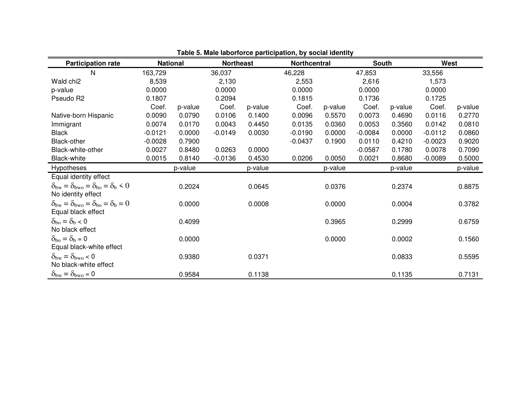| <b>Participation rate</b>                                                                                     | <b>National</b> |         | <b>Northeast</b> |         | <b>Northcentral</b> |         | <b>South</b> |         | West      |         |
|---------------------------------------------------------------------------------------------------------------|-----------------|---------|------------------|---------|---------------------|---------|--------------|---------|-----------|---------|
| N                                                                                                             | 163,729         |         | 36,037           |         | 46,228              |         | 47,853       |         | 33,556    |         |
| Wald chi <sub>2</sub>                                                                                         | 8,539           |         | 2,130            |         | 2,553               |         | 2,616        |         | 1,573     |         |
| p-value                                                                                                       | 0.0000          |         | 0.0000           |         | 0.0000              |         | 0.0000       |         | 0.0000    |         |
| Pseudo R2                                                                                                     | 0.1807          |         | 0.2094           |         | 0.1815              |         | 0.1736       |         | 0.1725    |         |
|                                                                                                               | Coef.           | p-value | Coef.            | p-value | Coef.               | p-value | Coef.        | p-value | Coef.     | p-value |
| Native-born Hispanic                                                                                          | 0.0090          | 0.0790  | 0.0106           | 0.1400  | 0.0096              | 0.5570  | 0.0073       | 0.4690  | 0.0116    | 0.2770  |
| Immigrant                                                                                                     | 0.0074          | 0.0170  | 0.0043           | 0.4450  | 0.0135              | 0.0360  | 0.0053       | 0.3560  | 0.0142    | 0.0810  |
| <b>Black</b>                                                                                                  | $-0.0121$       | 0.0000  | $-0.0149$        | 0.0030  | $-0.0190$           | 0.0000  | $-0.0084$    | 0.0000  | $-0.0112$ | 0.0860  |
| Black-other                                                                                                   | $-0.0028$       | 0.7900  |                  |         | $-0.0437$           | 0.1900  | 0.0110       | 0.4210  | $-0.0023$ | 0.9020  |
| Black-white-other                                                                                             | 0.0027          | 0.8480  | 0.0263           | 0.0000  |                     |         | $-0.0587$    | 0.1780  | 0.0078    | 0.7090  |
| Black-white                                                                                                   | 0.0015          | 0.8140  | $-0.0136$        | 0.4530  | 0.0206              | 0.0050  | 0.0021       | 0.8680  | $-0.0089$ | 0.5000  |
| Hypotheses                                                                                                    |                 | p-value |                  | p-value |                     | p-value |              | p-value |           | p-value |
| Equal identity effect                                                                                         |                 |         |                  |         |                     |         |              |         |           |         |
| $\delta_{\text{bw}} = \delta_{\text{bwo}} = \delta_{\text{bo}} = \delta_{\text{b}} < 0$<br>No identity effect |                 | 0.2024  |                  | 0.0645  |                     | 0.0376  |              | 0.2374  |           | 0.8875  |
| $\delta_{\text{bw}} = \delta_{\text{bwo}} = \delta_{\text{bo}} = \delta_{\text{b}} = 0$<br>Equal black effect |                 | 0.0000  |                  | 0.0008  |                     | 0.0000  |              | 0.0004  |           | 0.3782  |
| $\delta_{\rm bo} = \delta_{\rm b} < 0$<br>No black effect                                                     |                 | 0.4099  |                  |         |                     | 0.3965  |              | 0.2999  |           | 0.6759  |
| $\delta_{\rm bo} = \delta_{\rm b} = 0$<br>Equal black-white effect                                            |                 | 0.0000  |                  |         |                     | 0.0000  |              | 0.0002  |           | 0.1560  |
| $\delta_{\text{bw}} = \delta_{\text{bwo}} < 0$<br>No black-white effect                                       |                 | 0.9380  |                  | 0.0371  |                     |         |              | 0.0833  |           | 0.5595  |
| $\delta_{\text{bw}} = \delta_{\text{bwo}} = 0$                                                                |                 | 0.9584  |                  | 0.1138  |                     |         |              | 0.1135  |           | 0.7131  |

**Table 5. Male laborforce participation, by social identity**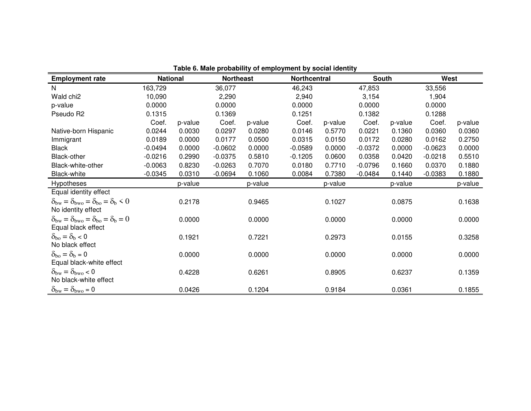| <b>Employment rate</b>                                                                                        | <b>National</b> |         | <b>Northeast</b> |         | Northcentral |         | <b>South</b> |         | West      |         |
|---------------------------------------------------------------------------------------------------------------|-----------------|---------|------------------|---------|--------------|---------|--------------|---------|-----------|---------|
| $\mathsf{N}$                                                                                                  | 163,729         |         | 36,077           |         | 46,243       |         | 47,853       |         | 33,556    |         |
| Wald chi <sub>2</sub>                                                                                         | 10,090          |         | 2,290            |         | 2,940        |         | 3,154        |         | 1,904     |         |
| p-value                                                                                                       | 0.0000          |         | 0.0000           |         | 0.0000       |         | 0.0000       |         | 0.0000    |         |
| Pseudo R2                                                                                                     | 0.1315          |         | 0.1369           |         | 0.1251       |         | 0.1382       |         | 0.1288    |         |
|                                                                                                               | Coef.           | p-value | Coef.            | p-value | Coef.        | p-value | Coef.        | p-value | Coef.     | p-value |
| Native-born Hispanic                                                                                          | 0.0244          | 0.0030  | 0.0297           | 0.0280  | 0.0146       | 0.5770  | 0.0221       | 0.1360  | 0.0360    | 0.0360  |
| Immigrant                                                                                                     | 0.0189          | 0.0000  | 0.0177           | 0.0500  | 0.0315       | 0.0150  | 0.0172       | 0.0280  | 0.0162    | 0.2750  |
| <b>Black</b>                                                                                                  | $-0.0494$       | 0.0000  | $-0.0602$        | 0.0000  | $-0.0589$    | 0.0000  | $-0.0372$    | 0.0000  | $-0.0623$ | 0.0000  |
| Black-other                                                                                                   | $-0.0216$       | 0.2990  | $-0.0375$        | 0.5810  | $-0.1205$    | 0.0600  | 0.0358       | 0.0420  | $-0.0218$ | 0.5510  |
| Black-white-other                                                                                             | $-0.0063$       | 0.8230  | $-0.0263$        | 0.7070  | 0.0180       | 0.7710  | $-0.0796$    | 0.1660  | 0.0370    | 0.1880  |
| <b>Black-white</b>                                                                                            | $-0.0345$       | 0.0310  | $-0.0694$        | 0.1060  | 0.0084       | 0.7380  | $-0.0484$    | 0.1440  | $-0.0383$ | 0.1880  |
| Hypotheses                                                                                                    |                 | p-value |                  | p-value |              | p-value |              | p-value |           | p-value |
| Equal identity effect                                                                                         |                 |         |                  |         |              |         |              |         |           |         |
| $\delta_{\text{bw}} = \delta_{\text{bwo}} = \delta_{\text{bo}} = \delta_{\text{b}} < 0$<br>No identity effect |                 | 0.2178  |                  | 0.9465  |              | 0.1027  |              | 0.0875  |           | 0.1638  |
| $\delta_{\text{bw}} = \delta_{\text{bwo}} = \delta_{\text{bo}} = \delta_{\text{b}} = 0$<br>Equal black effect |                 | 0.0000  |                  | 0.0000  |              | 0.0000  |              | 0.0000  |           | 0.0000  |
| $\delta_{\rm bo} = \delta_{\rm b} < 0$<br>No black effect                                                     |                 | 0.1921  |                  | 0.7221  |              | 0.2973  |              | 0.0155  |           | 0.3258  |
| $\delta_{\rm bo} = \delta_{\rm b} = 0$<br>Equal black-white effect                                            |                 | 0.0000  |                  | 0.0000  |              | 0.0000  |              | 0.0000  |           | 0.0000  |
| $\delta_{\text{bw}} = \delta_{\text{bwo}} < 0$<br>No black-white effect                                       |                 | 0.4228  |                  | 0.6261  |              | 0.8905  |              | 0.6237  |           | 0.1359  |
| $\delta_{\text{bw}} = \delta_{\text{bwo}} = 0$                                                                |                 | 0.0426  |                  | 0.1204  |              | 0.9184  |              | 0.0361  |           | 0.1855  |

**Table 6. Male probability of employment by social identity**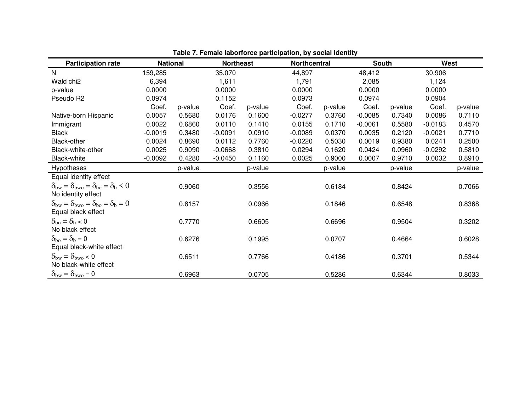| <b>Participation rate</b>                                                                                        | <b>National</b> |         | <b>Northeast</b> |         | <b>Northcentral</b> |         | South     |         | West      |         |
|------------------------------------------------------------------------------------------------------------------|-----------------|---------|------------------|---------|---------------------|---------|-----------|---------|-----------|---------|
| N                                                                                                                | 159,285         |         | 35,070           |         | 44,897              |         | 48,412    |         | 30,906    |         |
| Wald chi <sub>2</sub>                                                                                            | 6,394           |         | 1,611            |         | 1,791               |         | 2,085     |         | 1,124     |         |
| p-value                                                                                                          | 0.0000          |         | 0.0000           |         | 0.0000              |         | 0.0000    |         | 0.0000    |         |
| Pseudo R2                                                                                                        | 0.0974          |         | 0.1152           |         | 0.0973              |         | 0.0974    |         | 0.0904    |         |
|                                                                                                                  | Coef.           | p-value | Coef.            | p-value | Coef.               | p-value | Coef.     | p-value | Coef.     | p-value |
| Native-born Hispanic                                                                                             | 0.0057          | 0.5680  | 0.0176           | 0.1600  | $-0.0277$           | 0.3760  | $-0.0085$ | 0.7340  | 0.0086    | 0.7110  |
| Immigrant                                                                                                        | 0.0022          | 0.6860  | 0.0110           | 0.1410  | 0.0155              | 0.1710  | $-0.0061$ | 0.5580  | $-0.0183$ | 0.4570  |
| <b>Black</b>                                                                                                     | $-0.0019$       | 0.3480  | $-0.0091$        | 0.0910  | $-0.0089$           | 0.0370  | 0.0035    | 0.2120  | $-0.0021$ | 0.7710  |
| Black-other                                                                                                      | 0.0024          | 0.8690  | 0.0112           | 0.7760  | $-0.0220$           | 0.5030  | 0.0019    | 0.9380  | 0.0241    | 0.2500  |
| Black-white-other                                                                                                | 0.0025          | 0.9090  | $-0.0668$        | 0.3810  | 0.0294              | 0.1620  | 0.0424    | 0.0960  | $-0.0292$ | 0.5810  |
| <b>Black-white</b>                                                                                               | $-0.0092$       | 0.4280  | $-0.0450$        | 0.1160  | 0.0025              | 0.9000  | 0.0007    | 0.9710  | 0.0032    | 0.8910  |
| <b>Hypotheses</b>                                                                                                |                 | p-value |                  | p-value |                     | p-value |           | p-value |           | p-value |
| Equal identity effect                                                                                            |                 |         |                  |         |                     |         |           |         |           |         |
| $\delta_{\text{bw}} = \delta_{\text{bwo}} = \delta_{\text{bo}} = \delta_{\text{b}} \leq 0$<br>No identity effect |                 | 0.9060  |                  | 0.3556  |                     | 0.6184  |           | 0.8424  |           | 0.7066  |
| $\delta_{\text{bw}} = \delta_{\text{bwo}} = \delta_{\text{bo}} = \delta_{\text{b}} = 0$<br>Equal black effect    |                 | 0.8157  |                  | 0.0966  |                     | 0.1846  |           | 0.6548  |           | 0.8368  |
| $\delta_{\rm bo} = \delta_{\rm b} < 0$<br>No black effect                                                        |                 | 0.7770  |                  | 0.6605  |                     | 0.6696  |           | 0.9504  |           | 0.3202  |
| $\delta_{\rm bo} = \delta_{\rm b} = 0$<br>Equal black-white effect                                               |                 | 0.6276  |                  | 0.1995  |                     | 0.0707  |           | 0.4664  |           | 0.6028  |
| $\delta_{\text{bw}} = \delta_{\text{bwo}} < 0$<br>No black-white effect                                          |                 | 0.6511  |                  | 0.7766  |                     | 0.4186  |           | 0.3701  |           | 0.5344  |
| $\delta_{\text{bw}} = \delta_{\text{bwo}} = 0$                                                                   |                 | 0.6963  |                  | 0.0705  |                     | 0.5286  |           | 0.6344  |           | 0.8033  |

**Table 7. Female laborforce participation, by social identity**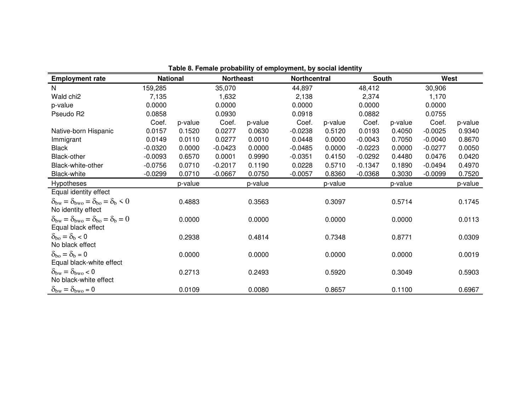|                                                                                                                  |                 |         |                  |         | $\frac{1}{2}$ |         |              |         |           |         |
|------------------------------------------------------------------------------------------------------------------|-----------------|---------|------------------|---------|---------------|---------|--------------|---------|-----------|---------|
| <b>Employment rate</b>                                                                                           | <b>National</b> |         | <b>Northeast</b> |         | Northcentral  |         | <b>South</b> |         | West      |         |
| N                                                                                                                | 159,285         |         | 35,070           |         | 44,897        |         | 48,412       |         | 30,906    |         |
| Wald chi2                                                                                                        | 7,135           |         | 1,632            |         | 2,138         |         | 2,374        |         | 1,170     |         |
| p-value                                                                                                          | 0.0000          |         | 0.0000           |         | 0.0000        |         | 0.0000       |         | 0.0000    |         |
| Pseudo R2                                                                                                        | 0.0858          |         | 0.0930           |         | 0.0918        |         | 0.0882       |         | 0.0755    |         |
|                                                                                                                  | Coef.           | p-value | Coef.            | p-value | Coef.         | p-value | Coef.        | p-value | Coef.     | p-value |
| Native-born Hispanic                                                                                             | 0.0157          | 0.1520  | 0.0277           | 0.0630  | $-0.0238$     | 0.5120  | 0.0193       | 0.4050  | $-0.0025$ | 0.9340  |
| Immigrant                                                                                                        | 0.0149          | 0.0110  | 0.0277           | 0.0010  | 0.0448        | 0.0000  | $-0.0043$    | 0.7050  | $-0.0040$ | 0.8670  |
| <b>Black</b>                                                                                                     | $-0.0320$       | 0.0000  | $-0.0423$        | 0.0000  | $-0.0485$     | 0.0000  | $-0.0223$    | 0.0000  | $-0.0277$ | 0.0050  |
| Black-other                                                                                                      | $-0.0093$       | 0.6570  | 0.0001           | 0.9990  | $-0.0351$     | 0.4150  | $-0.0292$    | 0.4480  | 0.0476    | 0.0420  |
| Black-white-other                                                                                                | $-0.0756$       | 0.0710  | $-0.2017$        | 0.1190  | 0.0228        | 0.5710  | $-0.1347$    | 0.1890  | $-0.0494$ | 0.4970  |
| <b>Black-white</b>                                                                                               | $-0.0299$       | 0.0710  | $-0.0667$        | 0.0750  | $-0.0057$     | 0.8360  | $-0.0368$    | 0.3030  | $-0.0099$ | 0.7520  |
| Hypotheses                                                                                                       |                 | p-value |                  | p-value |               | p-value |              | p-value |           | p-value |
| Equal identity effect                                                                                            |                 |         |                  |         |               |         |              |         |           |         |
| $\delta_{\text{bw}} = \delta_{\text{bwo}} = \delta_{\text{bo}} = \delta_{\text{b}} \leq 0$<br>No identity effect |                 | 0.4883  |                  | 0.3563  |               | 0.3097  |              | 0.5714  |           | 0.1745  |
| $\delta_{\text{bw}} = \delta_{\text{bwo}} = \delta_{\text{bo}} = \delta_{\text{b}} = 0$<br>Equal black effect    |                 | 0.0000  |                  | 0.0000  |               | 0.0000  |              | 0.0000  |           | 0.0113  |
| $\delta_{\rm bo} = \delta_{\rm b} < 0$<br>No black effect                                                        |                 | 0.2938  |                  | 0.4814  |               | 0.7348  |              | 0.8771  |           | 0.0309  |
| $\delta_{\rm bo} = \delta_{\rm b} = 0$<br>Equal black-white effect                                               |                 | 0.0000  |                  | 0.0000  |               | 0.0000  |              | 0.0000  |           | 0.0019  |
| $\delta_{\text{bw}} = \delta_{\text{bwo}} < 0$<br>No black-white effect                                          |                 | 0.2713  |                  | 0.2493  |               | 0.5920  |              | 0.3049  |           | 0.5903  |
| $\delta_{\text{bw}} = \delta_{\text{bwo}} = 0$                                                                   |                 | 0.0109  |                  | 0.0080  |               | 0.8657  |              | 0.1100  |           | 0.6967  |

**Table 8. Female probability of employment, by social identity**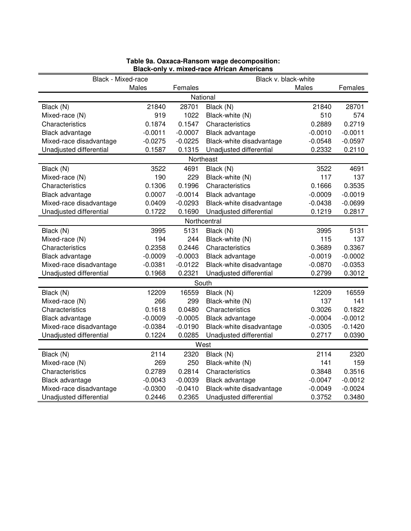| Black - Mixed-race      |           |           | Black v. black-white     |           |           |  |  |  |  |  |
|-------------------------|-----------|-----------|--------------------------|-----------|-----------|--|--|--|--|--|
|                         | Males     | Females   |                          | Males     | Females   |  |  |  |  |  |
|                         |           |           | National                 |           |           |  |  |  |  |  |
| Black (N)               | 21840     | 28701     | Black (N)                | 21840     | 28701     |  |  |  |  |  |
| Mixed-race (N)          | 919       | 1022      | Black-white (N)          | 510       | 574       |  |  |  |  |  |
| Characteristics         | 0.1874    | 0.1547    | Characteristics          | 0.2889    | 0.2719    |  |  |  |  |  |
| Black advantage         | $-0.0011$ | $-0.0007$ | Black advantage          | $-0.0010$ | $-0.0011$ |  |  |  |  |  |
| Mixed-race disadvantage | $-0.0275$ | $-0.0225$ | Black-white disadvantage | $-0.0548$ | $-0.0597$ |  |  |  |  |  |
| Unadjusted differential | 0.1587    | 0.1315    | Unadjusted differential  | 0.2332    | 0.2110    |  |  |  |  |  |
|                         |           |           | Northeast                |           |           |  |  |  |  |  |
| Black (N)               | 3522      | 4691      | Black (N)                | 3522      | 4691      |  |  |  |  |  |
| Mixed-race (N)          | 190       | 229       | Black-white (N)          | 117       | 137       |  |  |  |  |  |
| Characteristics         | 0.1306    | 0.1996    | Characteristics          | 0.1666    | 0.3535    |  |  |  |  |  |
| Black advantage         | 0.0007    | $-0.0014$ | Black advantage          | $-0.0009$ | $-0.0019$ |  |  |  |  |  |
| Mixed-race disadvantage | 0.0409    | $-0.0293$ | Black-white disadvantage | $-0.0438$ | $-0.0699$ |  |  |  |  |  |
| Unadjusted differential | 0.1722    | 0.1690    | Unadjusted differential  | 0.1219    | 0.2817    |  |  |  |  |  |
| Northcentral            |           |           |                          |           |           |  |  |  |  |  |
| Black (N)               | 3995      | 5131      | Black (N)                | 3995      | 5131      |  |  |  |  |  |
| Mixed-race (N)          | 194       | 244       | Black-white (N)          | 115       | 137       |  |  |  |  |  |
| Characteristics         | 0.2358    | 0.2446    | Characteristics          | 0.3689    | 0.3367    |  |  |  |  |  |
| Black advantage         | $-0.0009$ | $-0.0003$ | Black advantage          | $-0.0019$ | $-0.0002$ |  |  |  |  |  |
| Mixed-race disadvantage | $-0.0381$ | $-0.0122$ | Black-white disadvantage | $-0.0870$ | $-0.0353$ |  |  |  |  |  |
| Unadjusted differential | 0.1968    | 0.2321    | Unadjusted differential  | 0.2799    | 0.3012    |  |  |  |  |  |
|                         |           |           | South                    |           |           |  |  |  |  |  |
| Black (N)               | 12209     | 16559     | Black (N)                | 12209     | 16559     |  |  |  |  |  |
| Mixed-race (N)          | 266       | 299       | Black-white (N)          | 137       | 141       |  |  |  |  |  |
| Characteristics         | 0.1618    | 0.0480    | Characteristics          | 0.3026    | 0.1822    |  |  |  |  |  |
| Black advantage         | $-0.0009$ | $-0.0005$ | Black advantage          | $-0.0004$ | $-0.0012$ |  |  |  |  |  |
| Mixed-race disadvantage | $-0.0384$ | $-0.0190$ | Black-white disadvantage | $-0.0305$ | $-0.1420$ |  |  |  |  |  |
| Unadjusted differential | 0.1224    | 0.0285    | Unadjusted differential  | 0.2717    | 0.0390    |  |  |  |  |  |
|                         |           |           | West                     |           |           |  |  |  |  |  |
| Black (N)               | 2114      | 2320      | Black (N)                | 2114      | 2320      |  |  |  |  |  |
| Mixed-race (N)          | 269       | 250       | Black-white (N)          | 141       | 159       |  |  |  |  |  |
| Characteristics         | 0.2789    | 0.2814    | Characteristics          | 0.3848    | 0.3516    |  |  |  |  |  |
| Black advantage         | $-0.0043$ | $-0.0039$ | Black advantage          | $-0.0047$ | $-0.0012$ |  |  |  |  |  |
| Mixed-race disadvantage | $-0.0300$ | $-0.0410$ | Black-white disadvantage | $-0.0049$ | $-0.0024$ |  |  |  |  |  |
| Unadjusted differential | 0.2446    | 0.2365    | Unadjusted differential  | 0.3752    | 0.3480    |  |  |  |  |  |

#### **Table 9a. Oaxaca-Ransom wage decomposition: Black-only v. mixed-race African Americans**